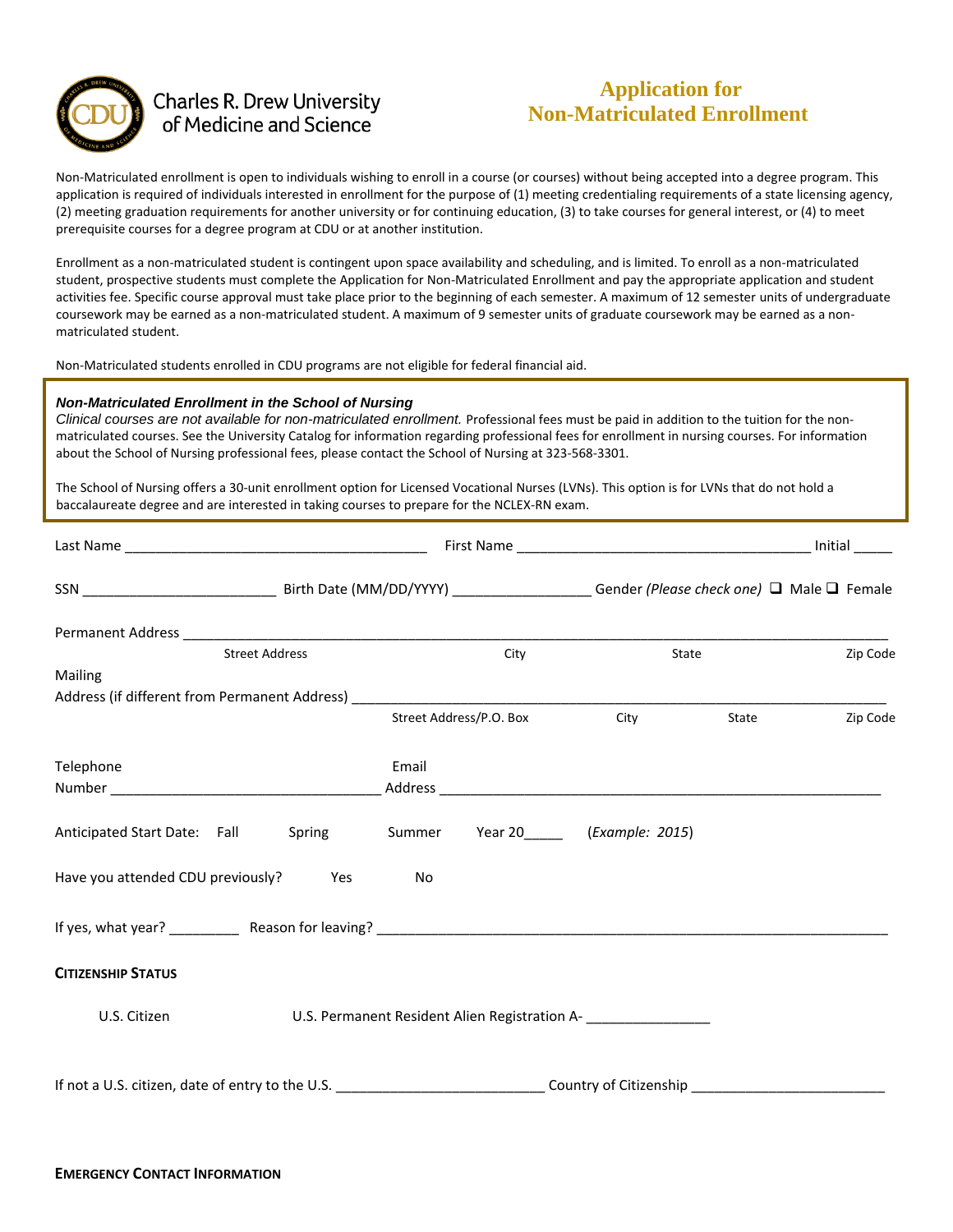

## **Charles R. Drew University** of Medicine and Science

# **Application for Non-Matriculated Enrollment**

Non-Matriculated enrollment is open to individuals wishing to enroll in a course (or courses) without being accepted into a degree program. This application is required of individuals interested in enrollment for the purpose of (1) meeting credentialing requirements of a state licensing agency, (2) meeting graduation requirements for another university or for continuing education, (3) to take courses for general interest, or (4) to meet prerequisite courses for a degree program at CDU or at another institution.

Enrollment as a non-matriculated student is contingent upon space availability and scheduling, and is limited. To enroll as a non-matriculated student, prospective students must complete the Application for Non-Matriculated Enrollment and pay the appropriate application and student activities fee. Specific course approval must take place prior to the beginning of each semester. A maximum of 12 semester units of undergraduate coursework may be earned as a non-matriculated student. A maximum of 9 semester units of graduate coursework may be earned as a nonmatriculated student.

Non-Matriculated students enrolled in CDU programs are not eligible for federal financial aid.

#### *Non-Matriculated Enrollment in the School of Nursing*

*Clinical courses are not available for non-matriculated enrollment.* Professional fees must be paid in addition to the tuition for the nonmatriculated courses. See the University Catalog for information regarding professional fees for enrollment in nursing courses. For information about the School of Nursing professional fees, please contact the School of Nursing at 323-568-3301.

The School of Nursing offers a 30-unit enrollment option for Licensed Vocational Nurses (LVNs). This option is for LVNs that do not hold a baccalaureate degree and are interested in taking courses to prepare for the NCLEX-RN exam.

| <b>Street Address</b>                                              | City                    | State                                                                               | Zip Code                         |
|--------------------------------------------------------------------|-------------------------|-------------------------------------------------------------------------------------|----------------------------------|
| Mailing                                                            |                         |                                                                                     |                                  |
|                                                                    |                         |                                                                                     |                                  |
|                                                                    | Street Address/P.O. Box | City                                                                                | Zip Code<br><b>State Example</b> |
| Telephone                                                          | Email                   |                                                                                     |                                  |
|                                                                    |                         |                                                                                     |                                  |
| Anticipated Start Date: Fall Spring Summer Year 20 (Example: 2015) |                         |                                                                                     |                                  |
| Have you attended CDU previously? Yes                              | No                      |                                                                                     |                                  |
|                                                                    |                         |                                                                                     |                                  |
| <b>CITIZENSHIP STATUS</b>                                          |                         |                                                                                     |                                  |
| U.S. Citizen                                                       |                         | U.S. Permanent Resident Alien Registration A-<br>__________________________________ |                                  |
|                                                                    |                         |                                                                                     |                                  |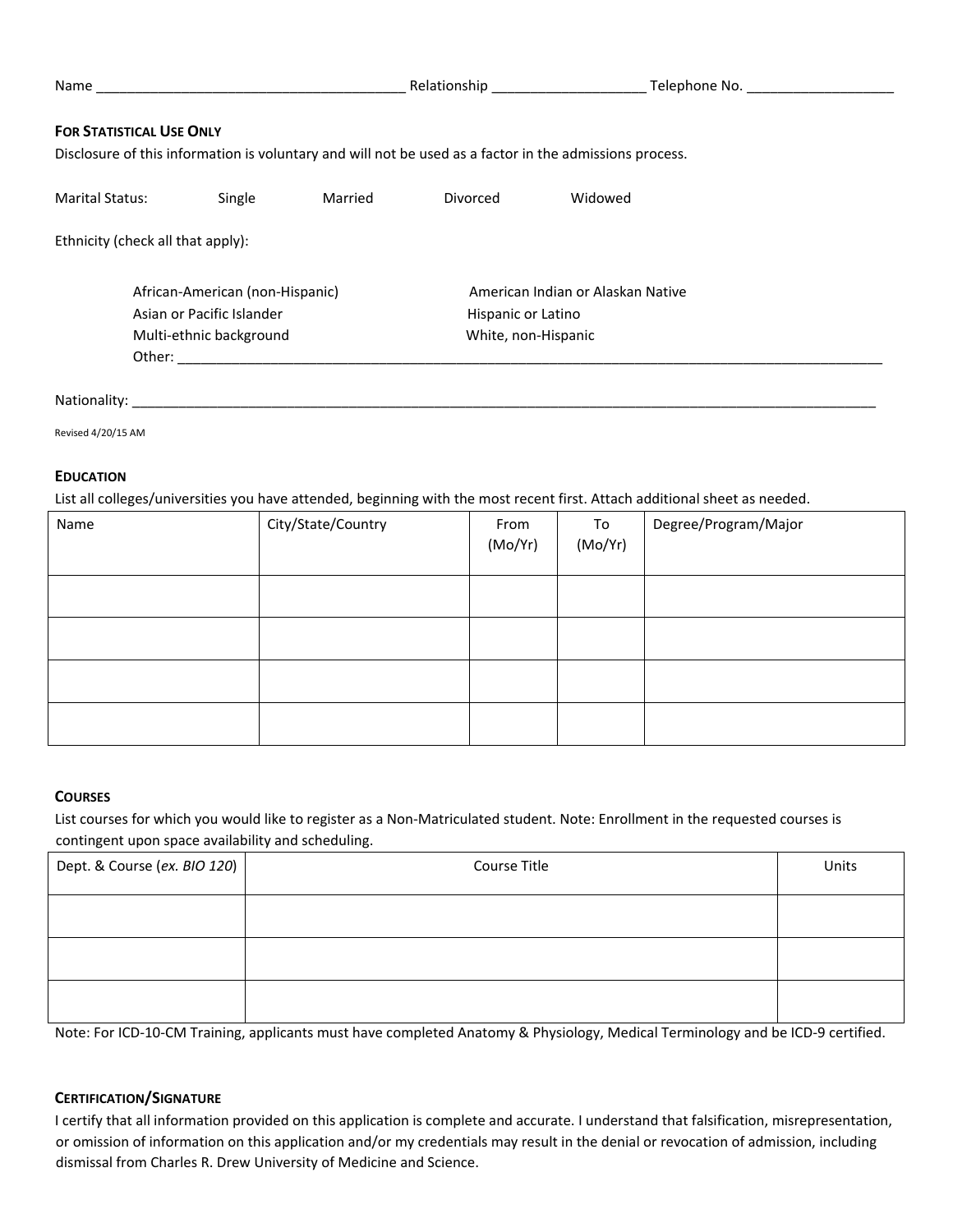| <b>FOR STATISTICAL USE ONLY</b><br>Disclosure of this information is voluntary and will not be used as a factor in the admissions process. |                                                      |         |                                           |                                   |  |
|--------------------------------------------------------------------------------------------------------------------------------------------|------------------------------------------------------|---------|-------------------------------------------|-----------------------------------|--|
| <b>Marital Status:</b>                                                                                                                     | Single                                               | Married | Divorced                                  | Widowed                           |  |
| Ethnicity (check all that apply):                                                                                                          |                                                      |         |                                           |                                   |  |
|                                                                                                                                            | African-American (non-Hispanic)                      |         |                                           | American Indian or Alaskan Native |  |
|                                                                                                                                            | Asian or Pacific Islander<br>Multi-ethnic background |         | Hispanic or Latino<br>White, non-Hispanic |                                   |  |
|                                                                                                                                            |                                                      |         |                                           |                                   |  |
| Nationality:                                                                                                                               |                                                      |         |                                           |                                   |  |

Revised 4/20/15 AM

#### **EDUCATION**

List all colleges/universities you have attended, beginning with the most recent first. Attach additional sheet as needed.

| Name | City/State/Country | From<br>(Mo/Yr) | To<br>(Mo/Yr) | Degree/Program/Major |
|------|--------------------|-----------------|---------------|----------------------|
|      |                    |                 |               |                      |
|      |                    |                 |               |                      |
|      |                    |                 |               |                      |
|      |                    |                 |               |                      |

### **COURSES**

List courses for which you would like to register as a Non-Matriculated student. Note: Enrollment in the requested courses is contingent upon space availability and scheduling.

| Dept. & Course (ex. BIO 120) | Course Title | Units |
|------------------------------|--------------|-------|
|                              |              |       |
|                              |              |       |
|                              |              |       |

Note: For ICD-10-CM Training, applicants must have completed Anatomy & Physiology, Medical Terminology and be ICD-9 certified.

### **CERTIFICATION/SIGNATURE**

I certify that all information provided on this application is complete and accurate. I understand that falsification, misrepresentation, or omission of information on this application and/or my credentials may result in the denial or revocation of admission, including dismissal from Charles R. Drew University of Medicine and Science.